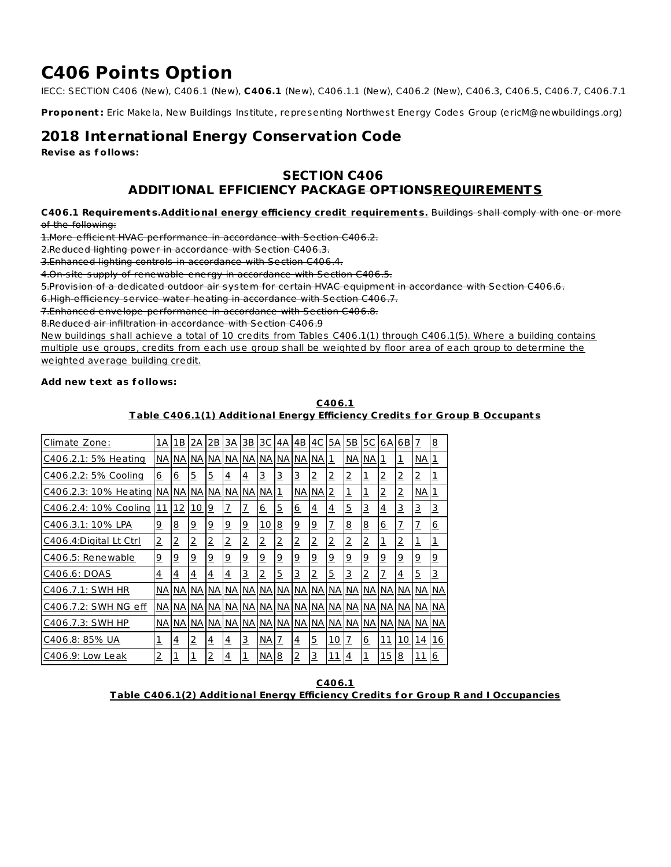# **C406 Points Option**

IECC: SECTION C406 (New), C406.1 (New), **C406.1** (New), C406.1.1 (New), C406.2 (New), C406.3, C406.5, C406.7, C406.7.1

**Proponent :** Eric Makela, New Buildings Institute, representing Northwest Energy Codes Group (ericM@newbuildings.org)

# **2018 International Energy Conservation Code**

**Revise as f ollows:**

# **SECTION C406**

# **ADDITIONAL EFFICIENCY PACKAGE OPTIONSREQUIREMENTS**

**C406.1 Requirement s.Addit ional energy efficiency credit requirement s.** Buildings shall comply with one or more of the following:

1.More efficient HVAC performance in accordance with Section C406.2.

2.Reduced lighting power in accordance with Section C406.3.

3.Enhanced lighting controls in accordance with Section C406.4.

4.On-site supply of renewable energy in accordance with Section C406.5.

5.Provision of a dedicated outdoor air system for certain HVAC equipment in accordance with Section C406.6.

6.High-efficiency service water heating in accordance with Section C406.7.

7.Enhanced envelope performance in accordance with Section C406.8.

8.Reduced air infiltration in accordance with Section C406.9

New buildings shall achieve a total of 10 credits from Tables C406.1(1) through C406.1(5). Where a building contains multiple use groups, credits from each use group shall be weighted by floor area of each group to determine the weighted average building credit.

# **Add new text as f ollows:**

# **C406.1 Table C406.1(1) Addit ional Energy Efficiency Credit s f or Group B Occupant s**

| Climate Zone:          | 1А             | 1В             | 2Α             | 2B             | ЗΑ             | ЗВ             | 3C             | 4Α             | 4B             | 4C             | 5A             | 5В             | 5C             | 6A             | 6 B            | 7               | 8              |
|------------------------|----------------|----------------|----------------|----------------|----------------|----------------|----------------|----------------|----------------|----------------|----------------|----------------|----------------|----------------|----------------|-----------------|----------------|
| C406.2.1: 5% Heating   | NA             | NА             | NА             | NA I           | NА             | <b>NA</b>      | . NA           | NА             | NA NA          |                | 1              | NA             | NА             | 1              | <u>1</u>       | NА              |                |
| C406.2.2: 5% Cooling   | <u>6</u>       | <u>6</u>       | 5              | $\overline{5}$ | $\overline{4}$ | $\overline{4}$ | 3              | <u>3</u>       | 3              | $\overline{2}$ | 2              | 2              | 1              | $\overline{2}$ | $\overline{2}$ | 2               | <u>1</u>       |
| C406.2.3: 10% Heating  | NA I           | NА             | <b>NA</b>      | NА             | NА             | NА             | <b>INA</b>     | 1              | NА             | NA             | 2              | 1              | $\overline{1}$ | <u>2</u>       | $\overline{2}$ | NА              |                |
| C406.2.4: 10% Cooling  | 11             | 12             | <u> 10</u>     | $\overline{9}$ | $\overline{1}$ | Z              | 6              | <u>5</u>       | <u>6</u>       | $\overline{4}$ | $\overline{4}$ | $\overline{5}$ | 3              | <u>4</u>       | 3              | 3               | <u>3</u>       |
| C406.3.1: 10% LPA      | <u>9</u>       | 8              | $\overline{6}$ | $\overline{9}$ | $\overline{9}$ | <u>و</u>       | 10             | <u>8</u>       | <u>9</u>       | $\overline{9}$ | $\overline{1}$ | 8              | 8              | 6              | $\overline{1}$ | $\overline{1}$  | <u>6</u>       |
| C406.4:Digital Lt Ctrl | $\overline{2}$ | 2              | $\overline{2}$ | $\overline{2}$ | $\overline{2}$ | 2              | $\overline{2}$ | $\overline{2}$ | $\overline{2}$ | $\overline{2}$ | $\overline{2}$ | $\overline{2}$ | $\overline{2}$ | ┻              | $\overline{2}$ | 1               | <u>1</u>       |
| C406.5: Renewable      | $\overline{9}$ | <u>9</u>       | <u>9</u>       | $\overline{9}$ | $\overline{9}$ | <u>9</u>       | $\overline{9}$ | $\overline{6}$ | <u>9</u>       | $\overline{9}$ | $\overline{9}$ | <u>و</u>       | <u>9</u>       | <u>9</u>       | $\overline{9}$ | $\overline{9}$  | $\overline{9}$ |
| C406.6: DOAS           | <u>4</u>       | $\overline{4}$ | $\overline{4}$ | $\overline{4}$ | 4              | 3              | $\overline{2}$ | 5              | 3              | $\overline{2}$ | <u>5</u>       | <u>3</u>       | $\overline{2}$ | <u>7</u>       | $\overline{4}$ | $\overline{5}$  | 3              |
| C406.7.1: SWH HR       | NА             | NА             | NА             | NА             | NА             | NА             | <b>INA</b>     | NА             | NА             | NА             | NА             | NA I           | NА             | NА             | NA NA          |                 | <b>NA</b>      |
| C406.7.2: SWH NG eff   |                | NA NA          | NА             | <b>NA</b>      | NА             | <b>NA</b>      | NA.            | NА             | <b>NA NA</b>   |                | <b>NA</b>      | <b>NA</b>      | <b>NA</b>      | NА             |                | <b>NA NA</b>    | <b>NA</b>      |
| C406.7.3: SWH HP       | NА             | NА             | NА             | NA             | NА             | NА             | <b>INA</b>     | NА             | NА             | NА             | <b>NA</b>      | <b>NA</b>      | NA             | NА             |                | NA NA           | <b>NA</b>      |
| C406.8: 85% UA         | 1              | $\overline{4}$ | $\overline{2}$ | $\overline{4}$ | $\overline{4}$ | 3              | NA.            | 7              | $\overline{4}$ | <u>5</u>       | <u>10</u>      | $\overline{1}$ | <u>6</u>       | <u> 11</u>     | 10             | 14              | 16             |
| C406.9: Low Leak       | 2              | 1              | <u>1</u>       | $\overline{2}$ | $\overline{4}$ | 1              | <b>NA</b>      | <u>8</u>       | $\overline{2}$ | 3              | <u> 11</u>     | $\overline{4}$ | 1              | 15             | <u>8</u>       | $\overline{11}$ | <u>6</u>       |

**C406.1 Table C406.1(2) Addit ional Energy Efficiency Credit s f or Group R and I Occupancies**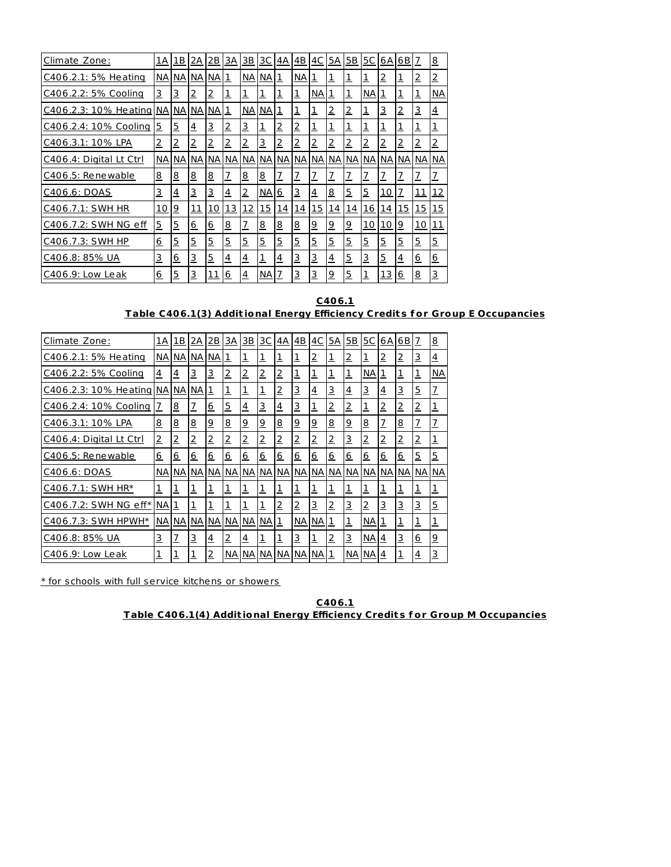| Climate Zone:           | 1A             | 1В       | 2Α             | 2B             | 3A             | $\underline{\mathsf{3B}}$ | <u>3C</u>  | 4А             | $\overline{AB}$ | 4C             | 5A             | I <sub>5</sub> B | <u>5C</u>                   | 6А             | 6 <sub>B</sub> | 7              | <u>8</u>       |
|-------------------------|----------------|----------|----------------|----------------|----------------|---------------------------|------------|----------------|-----------------|----------------|----------------|------------------|-----------------------------|----------------|----------------|----------------|----------------|
| C406.2.1: 5% Heating    | NА             | NА       | NA NA          |                | 1              | NA I                      | NА         | 1              | NА              | 1              | 1              | 1                | 1                           | 2              | $\overline{1}$ | 2              | $\overline{2}$ |
| C406.2.2: 5% Cooling    | 3              | 3        | $\overline{2}$ | $\overline{2}$ | 1              | 1                         | 1          | <u>1</u>       | <u>1</u>        | NА             | 1              | 1                | <b>NA</b>                   | 1              | $\overline{1}$ | $\mathbf 1$    | NА             |
| C406.2.3: 10% Heating   | <b>NA</b>      | NА       | NA NA          |                | $\mathbf{1}$   | <b>NA</b>                 | NА         | <u>1</u>       | <u>1</u>        | $\overline{1}$ | $\overline{2}$ | 2                | $\ensuremath{\text{\sf 1}}$ | 3              | $\overline{2}$ | 3              | $\overline{4}$ |
| C406.2.4: 10% Cooling   | 5              | 5        | $\overline{4}$ | <u>3</u>       | $\overline{2}$ | 3                         | 1          | $\overline{2}$ | <u>2</u>        | $\overline{1}$ | 1              | <u>ı</u>         | $\overline{1}$              | $\overline{1}$ | $\overline{1}$ | 1              | 1              |
| C406.3.1: 10% LPA       | $\overline{2}$ | 2        | $\overline{2}$ | $\overline{2}$ | $\overline{2}$ | 2                         | 3          | $\overline{2}$ | $\overline{2}$  | $\overline{2}$ | 2              | 2                | $\overline{2}$              | $\overline{2}$ | $\overline{2}$ | 2              | $\overline{2}$ |
| C406.4: Digital Lt Ctrl | NА             | NА       | NA             | NА             | NА             | NA                        | NА         | NА             | NА              | NА             | <b>NA</b>      | <b>NA</b>        | NА                          | NА             | NA             | NА             | NА             |
| C406.5: Renewable       | 8              | <u>8</u> | $\overline{8}$ | 8              | $\overline{1}$ | 8                         | <u>8</u>   | $\overline{1}$ | $\overline{1}$  | $\overline{1}$ | $\overline{1}$ | $\overline{1}$   | $\overline{1}$              | 7              | $\overline{1}$ | $\overline{1}$ | $\overline{1}$ |
| C406.6: DOAS            | <u>3</u>       | <u>4</u> | 3              | <u>3</u>       | $\overline{4}$ | 2                         | NА         | 6              | 3               | $\overline{4}$ | <u>8</u>       | 5                | $\overline{5}$              | <u>10</u>      | $\overline{1}$ | <u> 11</u>     | <u> 12</u>     |
| C406.7.1: SWH HR        | 10             | <u>9</u> | <u> 11</u>     | 10             | <u>13</u>      | <u>12</u>                 | <u> 15</u> | <u> 14</u>     | <u> 14</u>      | <u> 15</u>     | 14             | 14               | <u> 16</u>                  | 14             | <u> 15</u>     | <u> 15</u>     | 15             |
| C406.7.2: SWH NG eff    | <u>5</u>       | <u>5</u> | 6              | <u>6</u>       | 8              | Z                         | <u>8</u>   | $\overline{8}$ | <u>8</u>        | $\overline{9}$ | <u>و</u>       | <u>و</u>         | <u>10</u>                   | <u> 10</u>     | <u>9</u>       | 10             | <u> 11</u>     |
| C406.7.3: SWH HP        | 6              | 5        | 5              | <u>5</u>       | $\overline{5}$ | $\overline{5}$            | 5          | 5              | <u>5</u>        | $\overline{5}$ | $\overline{5}$ | 5                | $\overline{5}$              | 5              | $\overline{5}$ | $\overline{5}$ | $\overline{5}$ |
| C406.8: 85% UA          | 3              | <u>6</u> | 3              | <u>5</u>       | $\overline{4}$ | $\overline{4}$            | 1          | <u>4</u>       | 3               | 3              | $\overline{4}$ | <u>5</u>         | 3                           | <u>5</u>       | $\overline{4}$ | <u>6</u>       | <u>6</u>       |
| C406.9: Low Leak        | <u>6</u>       | <u>5</u> | 3              | <u> 11</u>     | <u>6</u>       | $\overline{4}$            | NА         | 7              | <u>3</u>        | 3              | <u>و</u>       | <u>5</u>         | $\overline{1}$              | <u> 13</u>     | 6              | <u>8</u>       | 3              |

**C406.1 Table C406.1(3) Addit ional Energy Efficiency Credit s f or Group E Occupancies**

| Climate Zone:           | 1A             | 1B             | 2Α               | 2B             | ЗΑ              | <u>3B</u>      | ЗC             | 4A              | 4B       | 4C             | 5A             | 5B             | 5C             | 6A             | 6B             | 7              | 8              |
|-------------------------|----------------|----------------|------------------|----------------|-----------------|----------------|----------------|-----------------|----------|----------------|----------------|----------------|----------------|----------------|----------------|----------------|----------------|
| C406.2.1: 5% Heating    | NA             | NА             | NА               | <b>NA</b>      | $\overline{1}$  | 1              | $\mathbf 1$    | $\overline{1}$  | 1        | $\overline{2}$ | $\overline{1}$ | 2              | 1              | $\overline{2}$ | $\overline{2}$ | 3              | <u>4</u>       |
| C406.2.2: 5% Cooling    | $\overline{4}$ | 4              | 3                | 3              | 2               | 2              | $\overline{2}$ | $\overline{2}$  | <u>1</u> | 1              | 1              | 1              | NА             | 1              | $\overline{1}$ | 1              | NА             |
| C406.2.3: 10% Heating   | NА             | NА             | NА               | $\mathbf 1$    | $\mathbf 1$     | 1              | 1              | $\overline{2}$  | <u>3</u> | $\overline{4}$ | 3              | <u>4</u>       | <u>3</u>       | <u>4</u>       | 3              | <u>5</u>       | $\overline{1}$ |
| C406.2.4: 10% Cooling   | $\overline{L}$ | <u>8</u>       | $\overline{1}$   | <u>6</u>       | 5               | $\overline{4}$ | 3              | $\overline{4}$  | 3        | $\overline{1}$ | $\overline{2}$ | 2              | $\overline{1}$ | $\overline{2}$ | $\overline{2}$ | $\overline{2}$ | $\overline{1}$ |
| C406.3.1: 10% LPA       | 8              | <u>8</u>       | $\overline{8}$   | <u>و</u>       | $\overline{8}$  | <u>و</u>       | <u>9</u>       | $\underline{8}$ | <u>9</u> | <u>9</u>       | 8              | <u>و</u>       | <u>8</u>       | $\overline{1}$ | <u>8</u>       | 7              | $\overline{1}$ |
| C406.4: Digital Lt Ctrl | $\overline{2}$ | $\overline{2}$ | $\overline{2}$   | 2              | $\overline{2}$  | 2              | <u>2</u>       | $\overline{2}$  | 2        | $\overline{2}$ | $\overline{2}$ | 3              | $\overline{2}$ | $\overline{2}$ | $\overline{2}$ | $\overline{2}$ | $\mathbf 1$    |
| C406.5: Renewable       | <u>6</u>       | <u>6</u>       | $6 \overline{6}$ | <u>6</u>       | $6 \overline{}$ | 6              | <u>6</u>       | 6               | 6        | 6              | <u>6</u>       | <u>6</u>       | <u>6</u>       | 6              | 6              | <u>5</u>       | 5              |
| C406.6: DOAS            | <b>NA</b>      | NА             | NА               | NА             | NА              | <b>NA</b>      | <b>NA</b>      | NА              | NА       | NА             | <b>NA</b>      | NА             | <b>NA</b>      | NА             | NА             | <b>NA</b>      | NА             |
| C406.7.1: SWH HR*       | 1              | <u>1</u>       | $\overline{1}$   | 1              | $\mathbf{1}$    | 1              | 1              | $\mathbf{1}$    | 1        | $\overline{1}$ | 1              | 1              | 1              | <u>1</u>       | $\mathbf{1}$   | 1              | 1              |
| C406.7.2: SWH NG eff*   | NA             | $\mathbf 1$    | $\overline{1}$   | $\overline{1}$ | $\mathbf{1}$    | <u>ı</u>       | $\overline{1}$ | $\overline{2}$  | <u>2</u> | 3              | $\overline{2}$ | 3              | $\overline{2}$ | 3              | 3              | <u>3</u>       | $\overline{5}$ |
| C406.7.3: SWH HPWH*     | NA             | NА             | <b>NA</b>        | <b>NA</b>      | <b>NA</b>       | NA             | <b>NA</b>      | $\mathbf{1}$    | NА       | NА             | $\mathbf 1$    | $\overline{1}$ | <b>NA</b>      | <u>1</u>       | $\overline{1}$ | $\overline{1}$ | $\overline{1}$ |
| C406.8: 85% UA          | 3              | $\overline{1}$ | 3                | $\overline{4}$ | $\overline{2}$  | $\overline{4}$ | $\overline{1}$ | $\overline{1}$  | 3        | 1              | $\overline{2}$ | 3              | <b>NA</b>      | $\overline{4}$ | 3              | 6              | $\overline{9}$ |
| C406.9: Low Leak        | $\mathbf{1}$   | <u>1</u>       | <u>1</u>         | 2              | NА              | NA I           | NА             | NА              | NА       | NА             | 1              | NA I           | NА             | 4              | $\overline{1}$ | 4              | <u>з</u>       |

\* for schools with full service kitchens or showers

**C406.1 Table C406.1(4) Addit ional Energy Efficiency Credit s f or Group M Occupancies**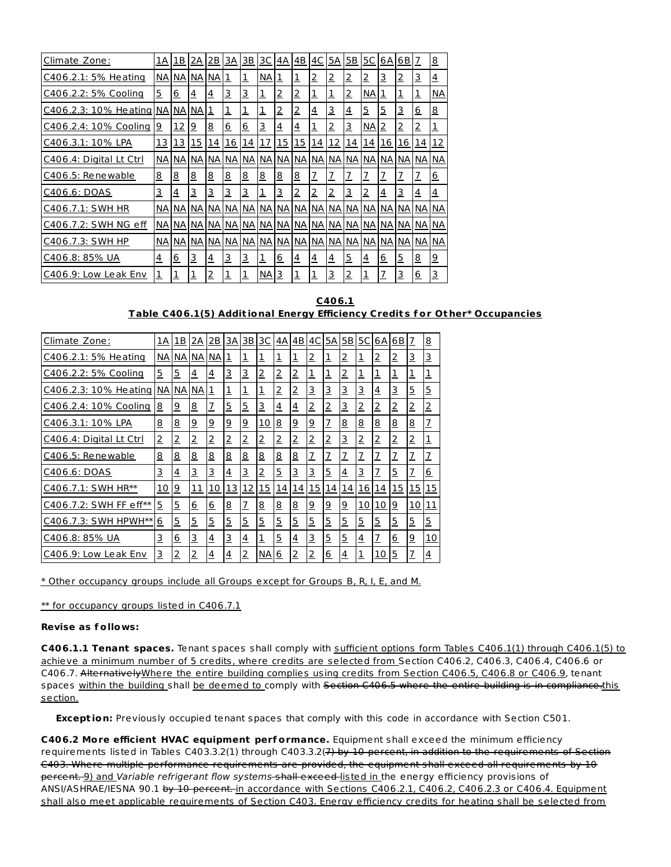| Climate Zone:           | 1A             | 1B         | <u>2A</u>      | 2B        | 3A             | <u>3B</u>  | <u>3C</u>  | 4A             | 4B             | <u>4C</u>      | <u>5A</u>      | 5B             | <u>5C</u>      | 6 A            | 6 B            | 7               | 8              |
|-------------------------|----------------|------------|----------------|-----------|----------------|------------|------------|----------------|----------------|----------------|----------------|----------------|----------------|----------------|----------------|-----------------|----------------|
| C406.2.1: 5% Heating    | NА             | NА         | NA NA          |           | <u>1</u>       | 1          | NА         | <u>1</u>       | <u>1</u>       | $\overline{2}$ | 2              | $\overline{2}$ | 2              | 3              | $\overline{2}$ | 3               | $\overline{4}$ |
| C406.2.2: 5% Cooling    | 5              | 6          | $\overline{4}$ | <u>4</u>  | $\overline{3}$ | 3          | 1          | $\overline{2}$ | <u>2</u>       | $\overline{1}$ | 1              | 2              | NА             | 1              | $\overline{1}$ | 1               | NА             |
| C406.2.3: 10% Heating   | NА             | NА         | NА             | 1         | $\overline{1}$ | 1          | 1          | 2              | 2              | $\overline{4}$ | 3              | <u>4</u>       | $\overline{5}$ | 5              | <u>3</u>       | $6 \overline{}$ | 8              |
| C406.2.4: 10% Cooling   | <u>و</u>       | 12         | <u>و</u>       | <u>8</u>  | 6              | <u>6</u>   | 3          | $\overline{4}$ | <u>4</u>       | $\mathbf 1$    | 2              | 3              | <b>NA</b>      | $\overline{2}$ | $\overline{2}$ | 2               | 1              |
| C406.3.1: 10% LPA       | <u> 13</u>     | <u> 13</u> | <u> 15</u>     | <u>14</u> | 16             | <u> 14</u> | <u> 17</u> | <u> 15</u>     | <u> 15</u>     | <u>14</u>      | <u>12</u>      | <u> 14</u>     | <u> 14</u>     | <u> 16</u>     | <u> 16</u>     | 14              | 12             |
| C406.4: Digital Lt Ctrl | NА             | NА         | <b>NA</b>      | NА        | NА             | <b>NA</b>  | NА         | NА             | NА             | NА             | NА             | <b>NA</b>      | NА             | NА             | NА             | <b>NA</b>       | <b>NA</b>      |
| C406.5: Renewable       | <u>8</u>       | <u>8</u>   | <u>8</u>       | <u>8</u>  | 8              | <u>8</u>   | <u>8</u>   | <u>8</u>       | <u>8</u>       | $\overline{1}$ | $\overline{1}$ | Z              | Z              | 7              | $\overline{1}$ | 7               | 6              |
| C406.6: DOAS            | 3              | <u>4</u>   | <u>3</u>       | 3         | $\overline{3}$ | 3          | 1          | <u>3</u>       | $\overline{2}$ | $\overline{2}$ | $\overline{2}$ | $\overline{3}$ | 2              | 4              | $\overline{3}$ | <u>4</u>        | $\overline{4}$ |
| C406.7.1: SWH HR        | NА             | NА         | NA I           | NА        | NА             | <b>NA</b>  | NА         | NА             | NА             | NА             | NА             | <b>NA</b>      | NА             | NА             | NА             | NА              | <b>NA</b>      |
| C406.7.2: SWH NG eff    | NА             | NА         | <b>NA</b>      | NА        | <b>NA</b>      | <b>NA</b>  | NА         | NA             | <b>NA</b>      | NА             |                | NA NA          | NА             | NA I           | <b>NA</b>      | NА              | <b>NA</b>      |
| C406.7.3: SWH HP        | NА             | ΝA         | NА             | <b>NA</b> | NА             | NA         | <b>NA</b>  | NА             | NА             | <b>NA</b>      | <b>NA</b>      | NА             | <b>NA</b>      | NА             | NА             | <b>NA</b>       | NА             |
| C406.8: 85% UA          | $\overline{4}$ | <u>6</u>   | 3              | <u>4</u>  | $\overline{3}$ | 3          | 1          | <u>6</u>       | <u>4</u>       | $\overline{4}$ | $\overline{4}$ | $\overline{5}$ | $\overline{4}$ | <u>6</u>       | $\overline{5}$ | <u>8</u>        | $\overline{9}$ |
| C406.9: Low Leak Env    | 1              | <u>1</u>   | <u>1</u>       | <u>2</u>  | <u>1</u>       | <u>ı</u>   | NА         | 3              | <u>1</u>       | 1              | 3              | <u>2</u>       | 1              | 7              | <u>3</u>       | <u>6</u>        | 3              |

**C406.1 Table C406.1(5) Addit ional Energy Efficiency Credit s f or Ot her\* Occupancies**

| Climate Zone:           | 1A             | 1B             | 2Α             | 2В             | 3A       | $\overline{3B}$ | 3C             | 4Α             | 4B             | 4C             | 5A             | 5Β             | <u>5C</u>       | 6А             | 6 B             | 7              | $\overline{8}$ |
|-------------------------|----------------|----------------|----------------|----------------|----------|-----------------|----------------|----------------|----------------|----------------|----------------|----------------|-----------------|----------------|-----------------|----------------|----------------|
| C406.2.1: 5% Heating    | NА             | NА             | <b>NA</b>      | NА             | <u>1</u> | $\overline{1}$  | 1              | 1              | 1              | $\overline{2}$ | $\mathbf{1}$   | $\overline{2}$ | $\overline{1}$  | $\overline{2}$ | $\overline{2}$  | <u>3</u>       | 3              |
| C406.2.2: 5% Cooling    | 5              | <u>5</u>       | <u>4</u>       | <u>4</u>       | <u>з</u> | 3               | <u>2</u>       | $\overline{2}$ | $\overline{2}$ | <u>1</u>       | $\overline{1}$ | $\overline{2}$ | 1               | <u>1</u>       | 1               | 1              | $\overline{1}$ |
| C406.2.3: 10% Heating   | <b>NA</b>      | <b>NA</b>      | NА             | 1              | 1        | $\overline{1}$  | $\overline{1}$ | $\overline{2}$ | $\overline{2}$ | <u>3</u>       | 3              | 3              | 3               | 4              | 3               | <u>5</u>       | $\overline{5}$ |
| C406.2.4: 10% Cooling   | 8              | <u>و</u>       | <u>8</u>       | $\overline{1}$ | 5        | $\overline{5}$  | 3              | $\overline{4}$ | $\overline{4}$ | 2              | $\overline{2}$ | <u>3</u>       | $\overline{2}$  | $\overline{2}$ | $\overline{2}$  | $\overline{2}$ | $\overline{2}$ |
| C406.3.1: 10% LPA       | <u>8</u>       | 8              | $\overline{9}$ | <u>9</u>       | <u>9</u> | <u>9</u>        | <u> 10</u>     | <u>8</u>       | $\overline{9}$ | <u>9</u>       | $\overline{1}$ | <u>8</u>       | $\underline{8}$ | <u>8</u>       | $\underline{8}$ | <u>8</u>       | $\overline{1}$ |
| C406.4: Digital Lt Ctrl | $\overline{2}$ | $\overline{2}$ | $\overline{2}$ | 2              | <u>2</u> | $\overline{2}$  | 2              | $\overline{2}$ | $\overline{2}$ | 2              | $\overline{2}$ | 3              | $\overline{2}$  | 2              | 2               | $\overline{2}$ | $\mathbf 1$    |
| C406.5: Renewable       | <u>8</u>       | <u>8</u>       | 8              | <u>8</u>       | <u>8</u> | 8               | <u>8</u>       | 8              | <u>8</u>       | 7              | $\overline{1}$ | 7              | $\overline{1}$  | <u>7</u>       | 7               | 7              | <u>7</u>       |
| C406.6: DOAS            | <u>3</u>       | $\overline{4}$ | <u>3</u>       | 3              | <u>4</u> | <u>3</u>        | 2              | $\overline{5}$ | 3              | 3              | $\overline{5}$ | <u>4</u>       | <u>3</u>        | <u>7</u>       | 5               | <u>7</u>       | 6              |
| C406.7.1: SWH HR**      | 10             | <u>9</u>       | 11             | <u> 10</u>     | 13       | <u> 12</u>      | <u> 15</u>     | 14             | <u>14</u>      | 15             | <u> 14</u>     | <u> 14</u>     | <u> 16</u>      | 14             | 15              | 15             | 15             |
| C406.7.2: SWH FF eff**  | 5              | $\overline{5}$ | <u>6</u>       | <u>6</u>       | <u>8</u> | $\overline{1}$  | <u>8</u>       | <u>8</u>       | 8              | <u>و</u>       | $\overline{9}$ | <u>و</u>       | 10              | 10             | <u>9</u>        | 10             | 11             |
| C406.7.3: SWH HPWH**    | 6              | <u>5</u>       | <u>5</u>       | <u>5</u>       | <u>5</u> | 5               | <u>5</u>       | $\overline{5}$ | <u>5</u>       | <u>5</u>       | $\overline{5}$ | <u>5</u>       | $\overline{5}$  | <u>5</u>       | <u>5</u>        | <u>5</u>       | $\overline{5}$ |
| C406.8: 85% UA          | 3              | 6              | 3              | $\overline{4}$ | 3        | $\overline{4}$  | 1              | $\overline{5}$ | 4              | 3              | $\overline{5}$ | 5              | $\overline{4}$  | <u>7</u>       | 6               | <u>و</u>       | 10             |
| C406.9: Low Leak Env    | 3              | <u>2</u>       | <u>2</u>       | $\overline{4}$ | 4        | $\overline{2}$  | NА             | 6              | $\overline{2}$ | 2              | 6              | $\overline{4}$ | $\overline{1}$  | 10             | <u>5</u>        |                | $\overline{4}$ |

\* Other occupancy groups include all Groups except for Groups B, R, I, E, and M.

\*\* for occupancy groups listed in C406.7.1

#### **Revise as f ollows:**

**C406.1.1 Tenant spaces.** Tenant spaces shall comply with sufficient options form Tables C406.1(1) through C406.1(5) to achieve a minimum number of 5 credits, where credits are selected from Section C406.2, C406.3, C406.4, C406.6 or C406.7. AlternativelyWhere the entire building complies using credits from Section C406.5, C406.8 or C406.9, tenant spaces within the building shall be deemed to comply with Section C406.5 where the entire building is in compliance.this section.

**Exception:** Previously occupied tenant spaces that comply with this code in accordance with Section C501.

**C406.2 More efficient HVAC equipment perf ormance.** Equipment shall exceed the minimum efficiency requirements listed in Tables C403.3.2(1) through C403.3.2(7) by 10 percent, in addition to the requirements of Section C403. Where multiple performance requirements are provided, the equipment shall exceed all requirements by 10 percent. 9) and Variable refrigerant flow systems shall exceed listed in the energy efficiency provisions of ANSI/ASHRAE/IESNA 90.1 by 10 percent. in accordance with Sections C406.2.1, C406.2, C406.2.3 or C406.4. Equipment shall also meet applicable requirements of Section C403. Energy efficiency credits for heating shall be selected from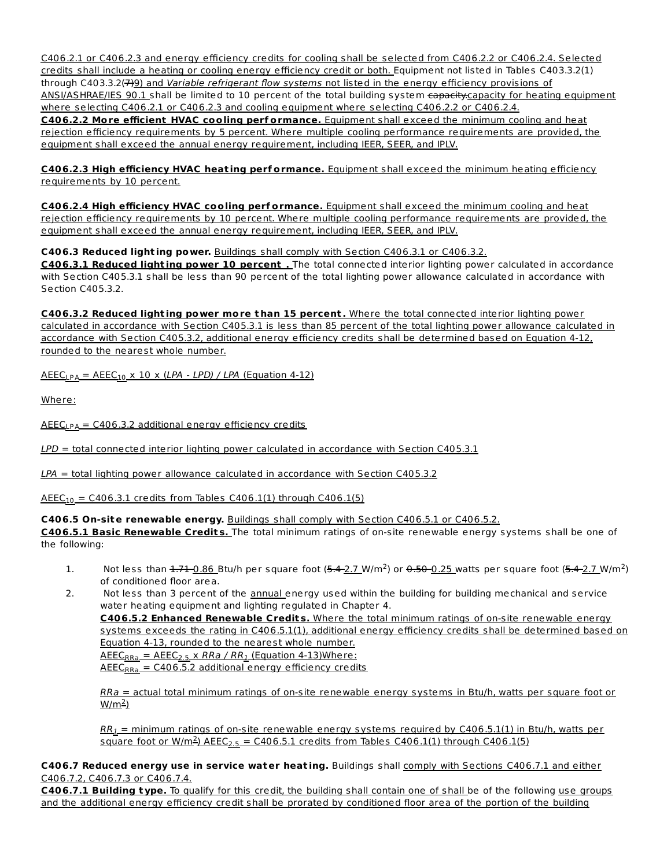C406.2.1 or C406.2.3 and energy efficiency credits for cooling shall be selected from C406.2.2 or C406.2.4. Selected credits shall include a heating or cooling energy efficiency credit or both. Equipment not listed in Tables C403.3.2(1) through C403.3.2(7)9) and Variable refrigerant flow systems not listed in the energy efficiency provisions of ANSI/ASHRAE/IES 90.1 shall be limited to 10 percent of the total building system capacity.capacity for heating equipment where selecting C406.2.1 or C406.2.3 and cooling equipment where selecting C406.2.2 or C406.2.4. **C406.2.2 More efficient HVAC cooling perf ormance.** Equipment shall exceed the minimum cooling and heat rejection efficiency requirements by 5 percent. Where multiple cooling performance requirements are provided, the equipment shall exceed the annual energy requirement, including IEER, SEER, and IPLV.

**C406.2.3 High efficiency HVAC heat ing perf ormance.** Equipment shall exceed the minimum heating efficiency requirements by 10 percent.

**C406.2.4 High efficiency HVAC cooling perf ormance.** Equipment shall exceed the minimum cooling and heat rejection efficiency requirements by 10 percent. Where multiple cooling performance requirements are provided, the equipment shall exceed the annual energy requirement, including IEER, SEER, and IPLV.

**C406.3 Reduced light ing power.** Buildings shall comply with Section C406.3.1 or C406.3.2.

**C406.3.1 Reduced light ing power 10 percent .** The total connected interior lighting power calculated in accordance with Section C405.3.1 shall be less than 90 percent of the total lighting power allowance calculated in accordance with Section C405.3.2.

**C406.3.2 Reduced light ing power more t han 15 percent .** Where the total connected interior lighting power calculated in accordance with Section C405.3.1 is less than 85 percent of the total lighting power allowance calculated in accordance with Section C405.3.2, additional energy efficiency credits shall be determined based on Equation 4-12, rounded to the nearest whole number.

<u> AEEC<sub>LPA</sub> = AEEC<sub>10</sub> x 10 x (LPA - LPD) / LPA (Equation 4-12)</u>

Where:

<u> AEEC<sub>LPA</sub> = C406.3.2 additional energy efficiency credits</u>

LPD = total connected interior lighting power calculated in accordance with Section C405.3.1

 $LPA$  = total lighting power allowance calculated in accordance with Section C405.3.2

 $\mathsf{AEEC}_{10} = \mathsf{C406.3.1}$  credits from Tables C406.1(1) through C406.1(5)

**C406.5 On-site renewable energy.** Buildings shall comply with Section C406.5.1 or C406.5.2.

**C406.5.1 Basic Renewable Credit s.** The total minimum ratings of on-site renewable energy systems shall be one of the following:

- 1. Not less than  $\frac{1.71 \cdot 0.86}{2.7}$  Btu/h per square foot  $(5.4 \cdot 2.7 \text{ W/m}^2)$  or  $0.50 \cdot 0.25$  watts per square foot  $(5.4 \cdot 2.7 \text{ W/m}^2)$ of conditioned floor area.
- 2. Not less than 3 percent of the annual energy used within the building for building mechanical and service water heating equipment and lighting regulated in Chapter 4.

**C406.5.2 Enhanced Renewable Credit s.** Where the total minimum ratings of on-site renewable energy systems exceeds the rating in C406.5.1(1), additional energy efficiency credits shall be determined based on Equation 4-13, rounded to the nearest whole number.

<u> AEEC<sub>RRa</sub> = AEEC<sub>2.5</sub> x *RRa / RR<sub>1</sub>* (Equation 4-13)Where:</u> <u> AEEC<sub>RRa</sub> = C406.5.2 additional energy efficiency credits</u>

RRa = actual total minimum ratings of on-site renewable energy systems in Btu/h, watts per square foot or <u>w/m<sup>2</sup>)</u>

 $RR_I=$  minimum ratings of on-site renewable energy systems required by C406.5.1(1) in Btu/h, watts per <u>square foot or W/m<sup>2</sup>) AEEC<sub>2.5</sub> = C406.5.1 credits from Tables C406.1(1) through C406.1(5)</u>

**C406.7 Reduced energy use in service water heat ing.** Buildings shall comply with Sections C406.7.1 and either C406.7.2, C406.7.3 or C406.7.4.

**C406.7.1 Building t ype.** To qualify for this credit, the building shall contain one of shall be of the following use groups and the additional energy efficiency credit shall be prorated by conditioned floor area of the portion of the building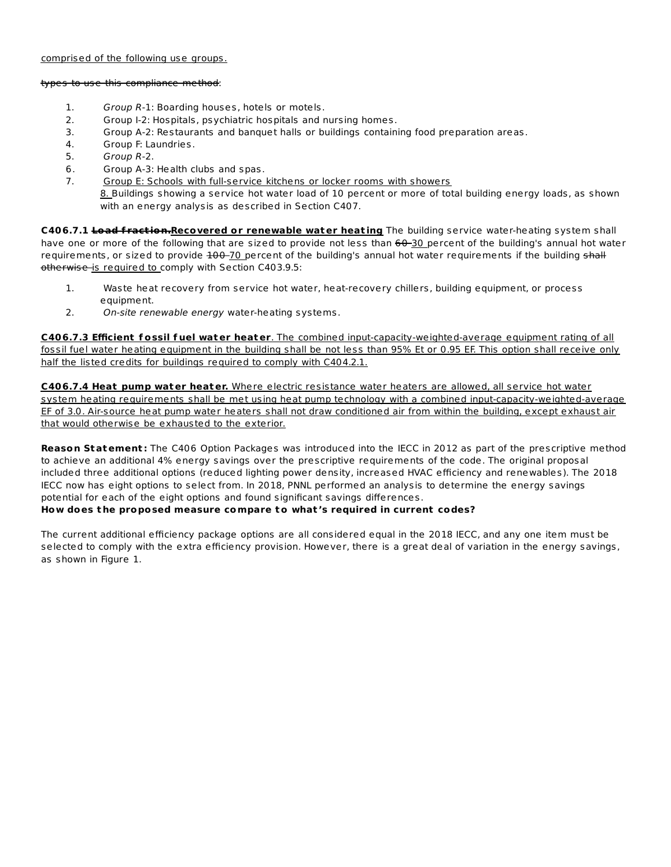#### comprised of the following use groups.

#### types to use this compliance method:

- 1. Group R-1: Boarding houses, hotels or motels.
- 2. Group I-2: Hospitals, psychiatric hospitals and nursing homes.
- 3. Group A-2: Restaurants and banquet halls or buildings containing food preparation areas.
- 4. Group F: Laundries.
- 5. Group R-2.
- 6. Group A-3: Health clubs and spas.
- 7. Group E: Schools with full-service kitchens or locker rooms with showers 8. Buildings showing a service hot water load of 10 percent or more of total building energy loads, as shown with an energy analysis as described in Section C407.

**C406.7.1 Load f ract ion.Recovered or renewable water heat ing** The building service water-heating system shall have one or more of the following that are sized to provide not less than 60-30 percent of the building's annual hot water requirements, or sized to provide  $100 - 70$  percent of the building's annual hot water requirements if the building shall otherwise is required to comply with Section C403.9.5:

- 1. Waste heat recovery from service hot water, heat-recovery chillers, building equipment, or process equipment.
- 2. On-site renewable energy water-heating systems.

**C406.7.3 Efficient f ossil f uel water heater**. The combined input-capacity-weighted-average equipment rating of all fossil fuel water heating equipment in the building shall be not less than 95% Et or 0.95 EF. This option shall receive only half the listed credits for buildings required to comply with C404.2.1.

**C406.7.4 Heat pump water heater.** Where electric resistance water heaters are allowed, all service hot water system heating requirements shall be met using heat pump technology with a combined input-capacity-weighted-average EF of 3.0. Air-source heat pump water heaters shall not draw conditioned air from within the building, except exhaust air that would otherwise be exhausted to the exterior.

**Reason Statement :** The C406 Option Packages was introduced into the IECC in 2012 as part of the prescriptive method to achieve an additional 4% energy savings over the prescriptive requirements of the code. The original proposal included three additional options (reduced lighting power density, increased HVAC efficiency and renewables). The 2018 IECC now has eight options to select from. In 2018, PNNL performed an analysis to determine the energy savings potential for each of the eight options and found significant savings differences.

# **How does t he proposed measure compare to what 's required in current codes?**

The current additional efficiency package options are all considered equal in the 2018 IECC, and any one item must be selected to comply with the extra efficiency provision. However, there is a great deal of variation in the energy savings, as shown in Figure 1.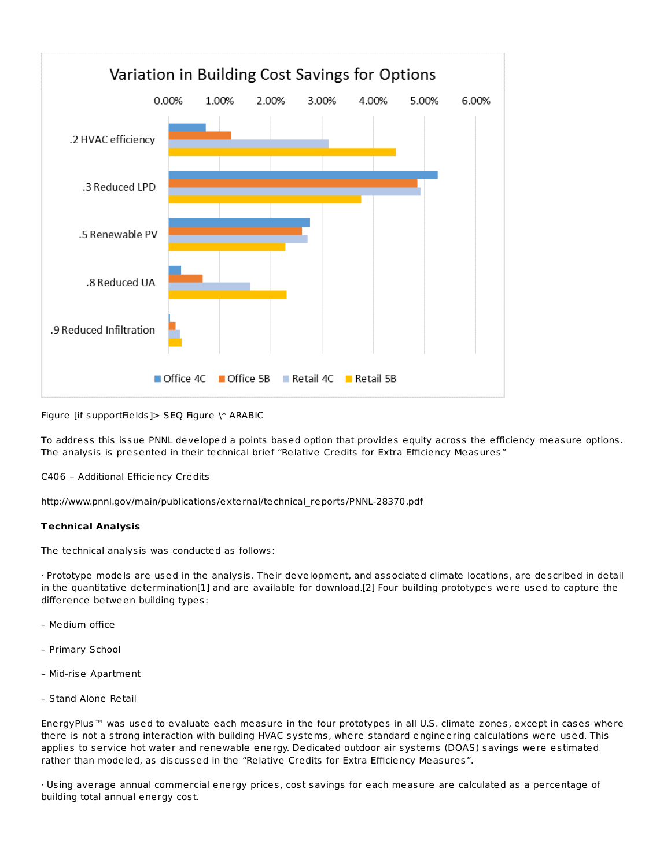

Figure [if supportFields]> SEQ Figure \\* ARABIC

To address this issue PNNL developed a points based option that provides equity across the efficiency measure options. The analysis is presented in their technical brief "Relative Credits for Extra Efficiency Measures"

C406 – Additional Efficiency Credits

http://www.pnnl.gov/main/publications/external/technical\_reports/PNNL-28370.pdf

# **Technical Analysis**

The technical analysis was conducted as follows:

· Prototype models are used in the analysis. Their development, and associated climate locations, are described in detail in the quantitative determination[1] and are available for download.[2] Four building prototypes were used to capture the difference between building types:

- Medium office
- Primary School
- Mid-rise Apartment
- Stand Alone Retail

EnergyPlus™ was used to evaluate each measure in the four prototypes in all U.S. climate zones, except in cases where there is not a strong interaction with building HVAC systems, where standard engineering calculations were used. This applies to service hot water and renewable energy. Dedicated outdoor air systems (DOAS) savings were estimated rather than modeled, as discussed in the "Relative Credits for Extra Efficiency Measures".

· Using average annual commercial energy prices, cost savings for each measure are calculated as a percentage of building total annual energy cost.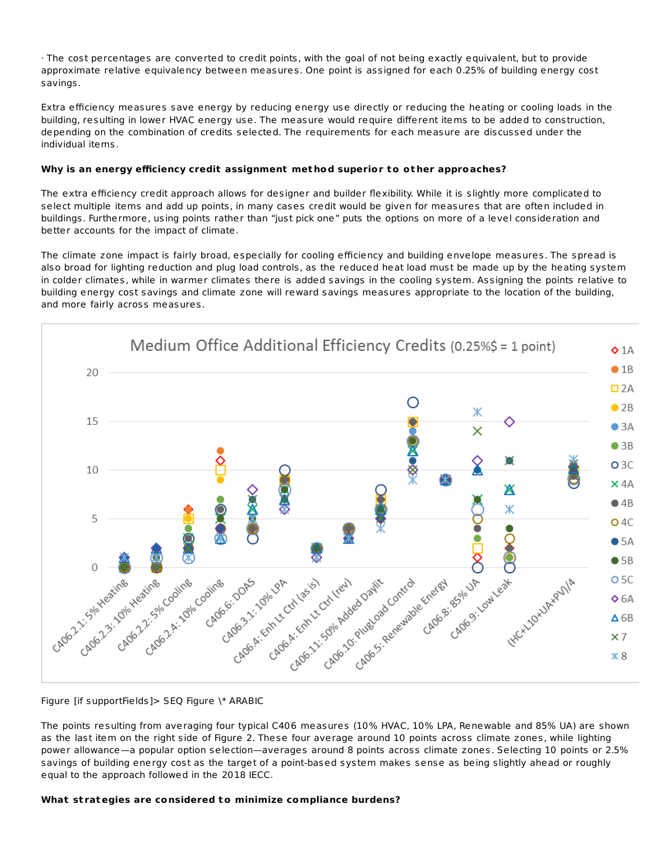· The cost percentages are converted to credit points, with the goal of not being exactly equivalent, but to provide approximate relative equivalency between measures. One point is assigned for each 0.25% of building energy cost savings.

Extra efficiency measures save energy by reducing energy use directly or reducing the heating or cooling loads in the building, resulting in lower HVAC energy use. The measure would require different items to be added to construction, depending on the combination of credits selected. The requirements for each measure are discussed under the individual items.

# **Why is an energy efficiency credit assignment met hod superior to ot her approaches?**

The extra efficiency credit approach allows for designer and builder flexibility. While it is slightly more complicated to select multiple items and add up points, in many cases credit would be given for measures that are often included in buildings. Furthermore, using points rather than "just pick one" puts the options on more of a level consideration and better accounts for the impact of climate.

The climate zone impact is fairly broad, especially for cooling efficiency and building envelope measures. The spread is also broad for lighting reduction and plug load controls, as the reduced heat load must be made up by the heating system in colder climates, while in warmer climates there is added savings in the cooling system. Assigning the points relative to building energy cost savings and climate zone will reward savings measures appropriate to the location of the building, and more fairly across measures.



# Figure [if supportFields]> SEQ Figure \\* ARABIC

The points resulting from averaging four typical C406 measures (10% HVAC, 10% LPA, Renewable and 85% UA) are shown as the last item on the right side of Figure 2. These four average around 10 points across climate zones, while lighting power allowance—a popular option selection—averages around 8 points across climate zones. Selecting 10 points or 2.5% savings of building energy cost as the target of a point-based system makes sense as being slightly ahead or roughly equal to the approach followed in the 2018 IECC.

# **What st rategies are considered to minimize compliance burdens?**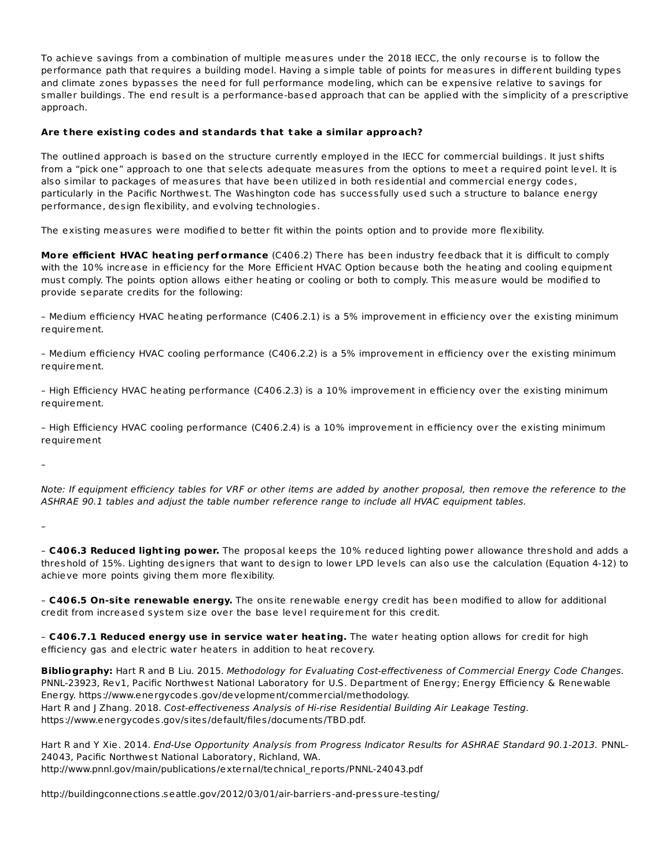To achieve savings from a combination of multiple measures under the 2018 IECC, the only recourse is to follow the performance path that requires a building model. Having a simple table of points for measures in different building types and climate zones bypasses the need for full performance modeling, which can be expensive relative to savings for smaller buildings. The end result is a performance-based approach that can be applied with the simplicity of a prescriptive approach.

# **Are t here exist ing codes and standards t hat take a similar approach?**

The outlined approach is based on the structure currently employed in the IECC for commercial buildings. It just shifts from a "pick one" approach to one that selects adequate measures from the options to meet a required point level. It is also similar to packages of measures that have been utilized in both residential and commercial energy codes, particularly in the Pacific Northwest. The Washington code has successfully used such a structure to balance energy performance, design flexibility, and evolving technologies.

The existing measures were modified to better fit within the points option and to provide more flexibility.

**More efficient HVAC heat ing perf ormance** (C406.2) There has been industry feedback that it is difficult to comply with the 10% increase in efficiency for the More Efficient HVAC Option because both the heating and cooling equipment must comply. The points option allows either heating or cooling or both to comply. This measure would be modified to provide separate credits for the following:

– Medium efficiency HVAC heating performance (C406.2.1) is a 5% improvement in efficiency over the existing minimum requirement.

– Medium efficiency HVAC cooling performance (C406.2.2) is a 5% improvement in efficiency over the existing minimum requirement.

– High Efficiency HVAC heating performance (C406.2.3) is a 10% improvement in efficiency over the existing minimum requirement.

– High Efficiency HVAC cooling performance (C406.2.4) is a 10% improvement in efficiency over the existing minimum requirement

–

Note: If equipment efficiency tables for VRF or other items are added by another proposal, then remove the reference to the ASHRAE 90.1 tables and adjust the table number reference range to include all HVAC equipment tables.

–

– **C406.3 Reduced light ing power.** The proposal keeps the 10% reduced lighting power allowance threshold and adds a threshold of 15%. Lighting designers that want to design to lower LPD levels can also use the calculation (Equation 4-12) to achieve more points giving them more flexibility.

– **C406.5 On-site renewable energy.** The onsite renewable energy credit has been modified to allow for additional credit from increased system size over the base level requirement for this credit.

– **C406.7.1 Reduced energy use in service water heat ing.** The water heating option allows for credit for high efficiency gas and electric water heaters in addition to heat recovery.

**Bibliography:** Hart R and B Liu. 2015. Methodology for Evaluating Cost-effectiveness of Commercial Energy Code Changes. PNNL-23923, Rev1, Pacific Northwest National Laboratory for U.S. Department of Energy; Energy Efficiency & Renewable Energy. https://www.energycodes.gov/development/commercial/methodology. Hart R and J Zhang. 2018. Cost-effectiveness Analysis of Hi-rise Residential Building Air Leakage Testing. https://www.energycodes.gov/sites/default/files/documents/TBD.pdf.

Hart R and Y Xie. 2014. End-Use Opportunity Analysis from Progress Indicator Results for ASHRAE Standard 90.1-2013. PNNL-24043, Pacific Northwest National Laboratory, Richland, WA. http://www.pnnl.gov/main/publications/external/technical\_reports/PNNL-24043.pdf

http://buildingconnections.seattle.gov/2012/03/01/air-barriers-and-pressure-testing/